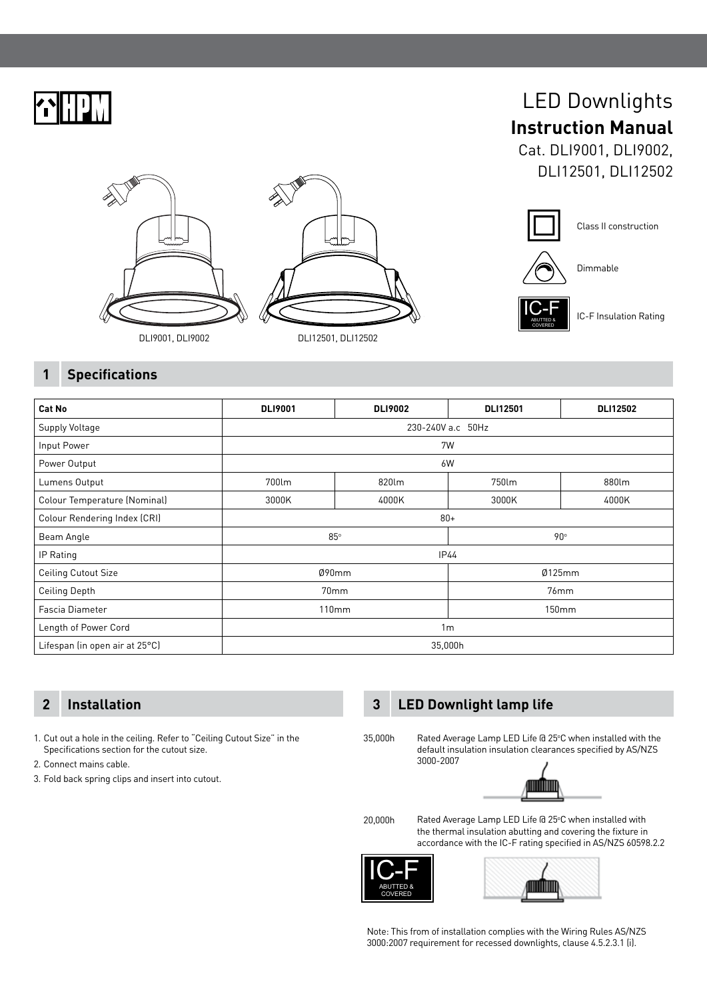

# LED Downlights **Instruction Manual**

Cat. DLI9001, DLI9002, DLI12501, DLI12502









Dimmable

 $IC-F$ COVERED

IC-F Insulation Rating

## **1 Specifications**

| <b>Cat No</b>                  | <b>DLI9001</b>    | <b>DLI9002</b> | <b>DLI12501</b> | <b>DLI12502</b> |
|--------------------------------|-------------------|----------------|-----------------|-----------------|
| Supply Voltage                 | 230-240V a.c 50Hz |                |                 |                 |
| Input Power                    | 7W                |                |                 |                 |
| Power Output                   | 6W                |                |                 |                 |
| Lumens Output                  | 700lm             | 820lm          | 750lm           | 880lm           |
| Colour Temperature (Nominal)   | 3000K             | 4000K          | 3000K           | 4000K           |
| Colour Rendering Index (CRI)   | $80 +$            |                |                 |                 |
| Beam Angle                     | $85^\circ$        |                | 90∘             |                 |
| IP Rating                      | <b>IP44</b>       |                |                 |                 |
| <b>Ceiling Cutout Size</b>     | Ø90mm             |                | Ø125mm          |                 |
| <b>Ceiling Depth</b>           | 70mm              |                | 76mm            |                 |
| Fascia Diameter                | 110mm             |                | 150mm           |                 |
| Length of Power Cord           | 1 <sub>m</sub>    |                |                 |                 |
| Lifespan (in open air at 25°C) | 35,000h           |                |                 |                 |

1. Cut out a hole in the ceiling. Refer to "Ceiling Cutout Size" in the Specifications section for the cutout size.

- 2. Connect mains cable.
- 3. Fold back spring clips and insert into cutout.

## **2 Installation 3 LED Downlight lamp life**

3000-2007

35,000h



Rated Average Lamp LED Life @ 25°C when installed with the default insulation insulation clearances specified by AS/NZS

20,000h

Rated Average Lamp LED Life @ 25°C when installed with the thermal insulation abutting and covering the fixture in accordance with the IC-F rating specified in AS/NZS 60598.2.2





Note: This from of installation complies with the Wiring Rules AS/NZS 3000:2007 requirement for recessed downlights, clause 4.5.2.3.1 (i).